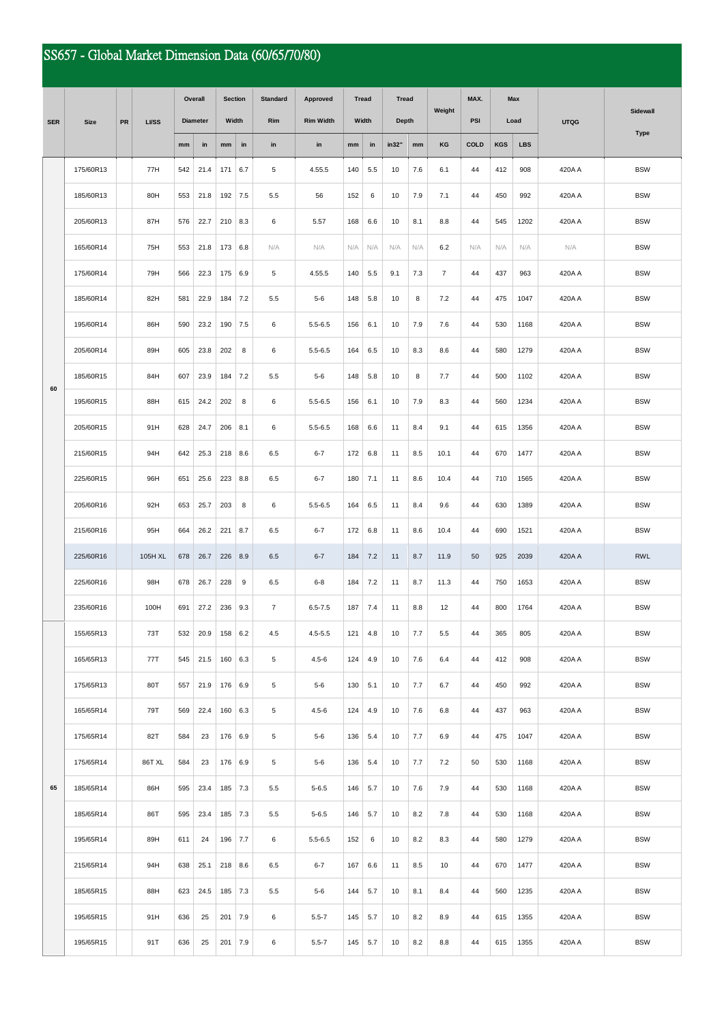## SS657 - Global Market Dimension Data (60/65/70/80)

|            | <b>Size</b> | PR | <b>LI/SS</b> | Overall         |      | <b>Section</b> |     | <b>Standard</b> | Approved         | <b>Tread</b><br>Width |     | <b>Tread</b><br><b>Depth</b> |     | Weight         | MAX.        | Max<br>Load |            | <b>UTQG</b> | Sidewall    |
|------------|-------------|----|--------------|-----------------|------|----------------|-----|-----------------|------------------|-----------------------|-----|------------------------------|-----|----------------|-------------|-------------|------------|-------------|-------------|
| <b>SER</b> |             |    |              | <b>Diameter</b> |      | Width          |     | Rim             | <b>Rim Width</b> |                       |     |                              |     |                | PSI         |             |            |             |             |
|            |             |    |              | mm              | in   | mm             | in  | in              | in               | mm                    | in  | in32"                        | mm  | KG             | <b>COLD</b> | <b>KGS</b>  | <b>LBS</b> |             | <b>Type</b> |
|            | 175/60R13   |    | 77H          | 542             | 21.4 | 171            | 6.7 | 5               | 4.55.5           | 140                   | 5.5 | 10                           | 7.6 | 6.1            | 44          | 412         | 908        | 420A A      | <b>BSW</b>  |
|            | 185/60R13   |    | 80H          | 553             | 21.8 | 192            | 7.5 | 5.5             | 56               | 152                   | 6   | 10                           | 7.9 | 7.1            | 44          | 450         | 992        | 420A A      | <b>BSW</b>  |
|            | 205/60R13   |    | 87H          | 576             | 22.7 | 210            | 8.3 | 6               | 5.57             | 168                   | 6.6 | 10                           | 8.1 | 8.8            | 44          | 545         | 1202       | 420A A      | <b>BSW</b>  |
|            | 165/60R14   |    | 75H          | 553             | 21.8 | 173            | 6.8 | N/A             | N/A              | N/A                   | N/A | N/A                          | N/A | 6.2            | N/A         | N/A         | N/A        | N/A         | <b>BSW</b>  |
|            | 175/60R14   |    | 79H          | 566             | 22.3 | 175            | 6.9 | 5               | 4.55.5           | 140                   | 5.5 | 9.1                          | 7.3 | $\overline{7}$ | 44          | 437         | 963        | 420A A      | <b>BSW</b>  |
|            | 185/60R14   |    | 82H          | 581             | 22.9 | 184            | 7.2 | 5.5             | $5 - 6$          | 148                   | 5.8 | 10                           | 8   | 7.2            | 44          | 475         | 1047       | 420A A      | <b>BSW</b>  |
|            | 195/60R14   |    | 86H          | 590             | 23.2 | 190            | 7.5 | 6               | $5.5 - 6.5$      | 156                   | 6.1 | 10                           | 7.9 | 7.6            | 44          | 530         | 1168       | 420A A      | <b>BSW</b>  |
|            | 205/60R14   |    | 89H          | 605             | 23.8 | 202            | 8   | 6               | $5.5 - 6.5$      | 164                   | 6.5 | 10                           | 8.3 | 8.6            | 44          | 580         | 1279       | 420A A      | <b>BSW</b>  |
|            | 185/60R15   |    | 84H          | 607             | 23.9 | 184            | 7.2 | 5.5             | $5-6$            | 148                   | 5.8 | 10                           | 8   | 7.7            | 44          | 500         | 1102       | 420A A      | <b>BSW</b>  |
| 60         | 195/60R15   |    | 88H          | 615             | 24.2 | 202            | 8   | 6               | $5.5 - 6.5$      | 156                   | 6.1 | 10                           | 7.9 | 8.3            | 44          | 560         | 1234       | 420A A      | <b>BSW</b>  |
|            | 205/60R15   |    | 91H          | 628             | 24.7 | 206            | 8.1 | 6               | $5.5 - 6.5$      | 168                   | 6.6 | 11                           | 8.4 | 9.1            | 44          | 615         | 1356       | 420A A      | <b>BSW</b>  |
|            | 215/60R15   |    | 94H          | 642             | 25.3 | 218            | 8.6 | 6.5             | $6 - 7$          | 172                   | 6.8 | 11                           | 8.5 | 10.1           | 44          | 670         | 1477       | 420A A      | <b>BSW</b>  |
|            | 225/60R15   |    | 96H          | 651             | 25.6 | 223            | 8.8 | 6.5             | $6 - 7$          | 180                   | 7.1 | 11                           | 8.6 | 10.4           | 44          | 710         | 1565       | 420A A      | <b>BSW</b>  |
|            | 205/60R16   |    | 92H          | 653             | 25.7 | 203            | 8   | 6               | $5.5 - 6.5$      | 164                   | 6.5 | 11                           | 8.4 | 9.6            | 44          | 630         | 1389       | 420A A      | <b>BSW</b>  |
|            | 215/60R16   |    | 95H          | 664             | 26.2 | 221            | 8.7 | 6.5             | $6 - 7$          | 172                   | 6.8 | 11                           | 8.6 | 10.4           | 44          | 690         | 1521       | 420A A      | <b>BSW</b>  |
|            | 225/60R16   |    | 105H XL      | 678             | 26.7 | 226            | 8.9 | 6.5             | $6 - 7$          | 184                   | 7.2 | 11                           | 8.7 | 11.9           | 50          | 925         | 2039       | 420A A      | <b>RWL</b>  |
|            | 225/60R16   |    | 98H          | 678             | 26.7 | 228            | 9   | 6.5             | $6 - 8$          | 184                   | 7.2 | 11                           | 8.7 | 11.3           | 44          | 750         | 1653       | 420A A      | <b>BSW</b>  |
|            | 235/60R16   |    | 100H         | 691             | 27.2 | 236            | 9.3 | $\overline{7}$  | $6.5 - 7.5$      | 187                   | 7.4 | 11                           | 8.8 | 12             | 44          | 800         | 1764       | 420A A      | <b>BSW</b>  |
|            | 155/65R13   |    | 73T          | 532             | 20.9 | 158            | 6.2 | 4.5             | $4.5 - 5.5$      | 121                   | 4.8 | 10                           | 7.7 | $5.5$          | 44          | 365         | 805        | 420A A      | <b>BSW</b>  |
|            | 165/65R13   |    | 77T          | 545             | 21.5 | 160            | 6.3 | 5               | $4.5 - 6$        | 124                   | 4.9 | 10                           | 7.6 | 6.4            | 44          | 412         | 908        | 420A A      | <b>BSW</b>  |
|            | 175/65R13   |    | 80T          | 557             | 21.9 | 176            | 6.9 | 5               | $5-6$            | 130                   | 5.1 | 10                           | 7.7 | 6.7            | 44          | 450         | 992        | 420A A      | <b>BSW</b>  |
|            | 165/65R14   |    | 79T          | 569             | 22.4 | 160            | 6.3 | 5               | $4.5 - 6$        | 124                   | 4.9 | 10                           | 7.6 | 6.8            | 44          | 437         | 963        | 420A A      | <b>BSW</b>  |
|            | 175/65R14   |    | 82T          | 584             | 23   | 176            | 6.9 | 5               | $5 - 6$          | 136                   | 5.4 | 10                           | 7.7 | 6.9            | 44          | 475         | 1047       | 420A A      | <b>BSW</b>  |
|            | 175/65R14   |    | 86T XL       | 584             | 23   | 176            | 6.9 | 5               | $5 - 6$          | 136                   | 5.4 | 10                           | 7.7 | 7.2            | 50          | 530         | 1168       | 420A A      | <b>BSW</b>  |
| 65         | 185/65R14   |    | 86H          | 595             | 23.4 | 185            | 7.3 | 5.5             | $5 - 6.5$        | 146                   | 5.7 | 10                           | 7.6 | 7.9            | 44          | 530         | 1168       | 420A A      | <b>BSW</b>  |
|            | 185/65R14   |    | 86T          | 595             | 23.4 | 185            | 7.3 | 5.5             | $5 - 6.5$        | 146                   | 5.7 | 10                           | 8.2 | 7.8            | 44          | 530         | 1168       | 420A A      | <b>BSW</b>  |
|            | 195/65R14   |    | 89H          | 611             | 24   | 196            | 7.7 | 6               | $5.5 - 6.5$      | 152                   | 6   | 10                           | 8.2 | 8.3            | 44          | 580         | 1279       | 420A A      | <b>BSW</b>  |
|            | 215/65R14   |    | 94H          | 638             | 25.1 | 218            | 8.6 | 6.5             | $6 - 7$          | 167                   | 6.6 | 11                           | 8.5 | 10             | 44          | 670         | 1477       | 420A A      | <b>BSW</b>  |
|            | 185/65R15   |    | 88H          | 623             | 24.5 | 185            | 7.3 | 5.5             | $5 - 6$          | 144                   | 5.7 | 10                           | 8.1 | 8.4            | 44          | 560         | 1235       | 420A A      | <b>BSW</b>  |
|            | 195/65R15   |    | 91H          | 636             | 25   | 201            | 7.9 | 6               | $5.5 - 7$        | 145                   | 5.7 | 10                           | 8.2 | 8.9            | 44          | 615         | 1355       | 420A A      | <b>BSW</b>  |
|            | 195/65R15   |    | 91T          | 636             | 25   | 201            | 7.9 | 6               | $5.5 - 7$        | 145                   | 5.7 | 10                           | 8.2 | 8.8            | 44          | 615         | 1355       | 420A A      | <b>BSW</b>  |